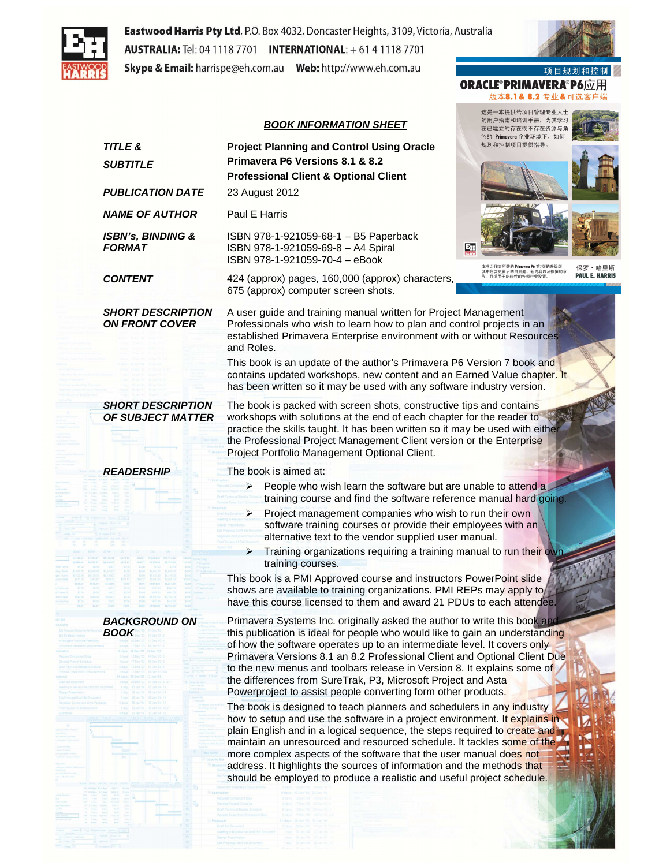

Eastwood Harris Pty Ltd, P.O. Box 4032, Doncaster Heights, 3109, Victoria, Australia **AUSTRALIA:** Tel: 04 1118 7701 **INTERNATIONAL:** + 61 4 1118 7701 Skype & Email: harrispe@eh.com.au Web: http://www.eh.com.au

### **BOOK INFORMATION SHEET**

项 目

**ORACLE®PRIMAVERA®P6应用** 版本8.1& 8.2 专业&可选客户端

这是一本提供给项目管理专业人士

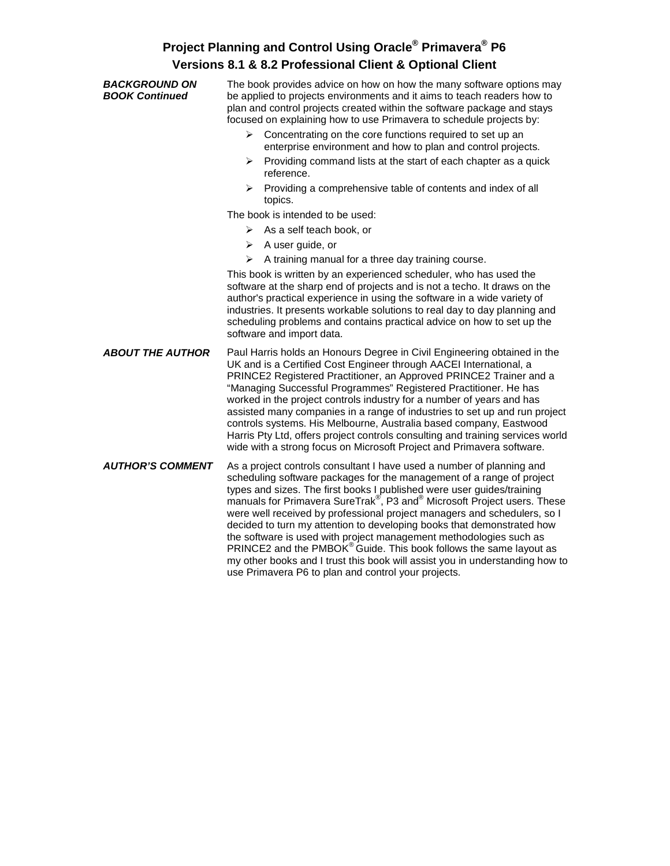| <b>BACKGROUND ON</b><br><b>BOOK Continued</b> | The book provides advice on how on how the many software options may<br>be applied to projects environments and it aims to teach readers how to<br>plan and control projects created within the software package and stays<br>focused on explaining how to use Primavera to schedule projects by:                                                                                                                                                                                                                                                                                                                                                                                                                                                                     |  |  |
|-----------------------------------------------|-----------------------------------------------------------------------------------------------------------------------------------------------------------------------------------------------------------------------------------------------------------------------------------------------------------------------------------------------------------------------------------------------------------------------------------------------------------------------------------------------------------------------------------------------------------------------------------------------------------------------------------------------------------------------------------------------------------------------------------------------------------------------|--|--|
|                                               | Concentrating on the core functions required to set up an<br>➤<br>enterprise environment and how to plan and control projects.                                                                                                                                                                                                                                                                                                                                                                                                                                                                                                                                                                                                                                        |  |  |
|                                               | Providing command lists at the start of each chapter as a quick<br>≻<br>reference.                                                                                                                                                                                                                                                                                                                                                                                                                                                                                                                                                                                                                                                                                    |  |  |
|                                               | $\triangleright$ Providing a comprehensive table of contents and index of all<br>topics.                                                                                                                                                                                                                                                                                                                                                                                                                                                                                                                                                                                                                                                                              |  |  |
|                                               | The book is intended to be used:                                                                                                                                                                                                                                                                                                                                                                                                                                                                                                                                                                                                                                                                                                                                      |  |  |
|                                               | As a self teach book, or<br>≻                                                                                                                                                                                                                                                                                                                                                                                                                                                                                                                                                                                                                                                                                                                                         |  |  |
|                                               | $\triangleright$ A user guide, or                                                                                                                                                                                                                                                                                                                                                                                                                                                                                                                                                                                                                                                                                                                                     |  |  |
|                                               | A training manual for a three day training course.<br>➤                                                                                                                                                                                                                                                                                                                                                                                                                                                                                                                                                                                                                                                                                                               |  |  |
|                                               | This book is written by an experienced scheduler, who has used the<br>software at the sharp end of projects and is not a techo. It draws on the<br>author's practical experience in using the software in a wide variety of<br>industries. It presents workable solutions to real day to day planning and<br>scheduling problems and contains practical advice on how to set up the<br>software and import data.                                                                                                                                                                                                                                                                                                                                                      |  |  |
| <b>ABOUT THE AUTHOR</b>                       | Paul Harris holds an Honours Degree in Civil Engineering obtained in the<br>UK and is a Certified Cost Engineer through AACEI International, a<br>PRINCE2 Registered Practitioner, an Approved PRINCE2 Trainer and a<br>"Managing Successful Programmes" Registered Practitioner. He has<br>worked in the project controls industry for a number of years and has<br>assisted many companies in a range of industries to set up and run project<br>controls systems. His Melbourne, Australia based company, Eastwood<br>Harris Pty Ltd, offers project controls consulting and training services world<br>wide with a strong focus on Microsoft Project and Primavera software.                                                                                      |  |  |
| <b>AUTHOR'S COMMENT</b>                       | As a project controls consultant I have used a number of planning and<br>scheduling software packages for the management of a range of project<br>types and sizes. The first books I published were user guides/training<br>manuals for Primavera SureTrak <sup>®</sup> , P3 and <sup>®</sup> Microsoft Project users. These<br>were well received by professional project managers and schedulers, so I<br>decided to turn my attention to developing books that demonstrated how<br>the software is used with project management methodologies such as<br>PRINCE2 and the PMBOK® Guide. This book follows the same layout as<br>my other books and I trust this book will assist you in understanding how to<br>use Primavera P6 to plan and control your projects. |  |  |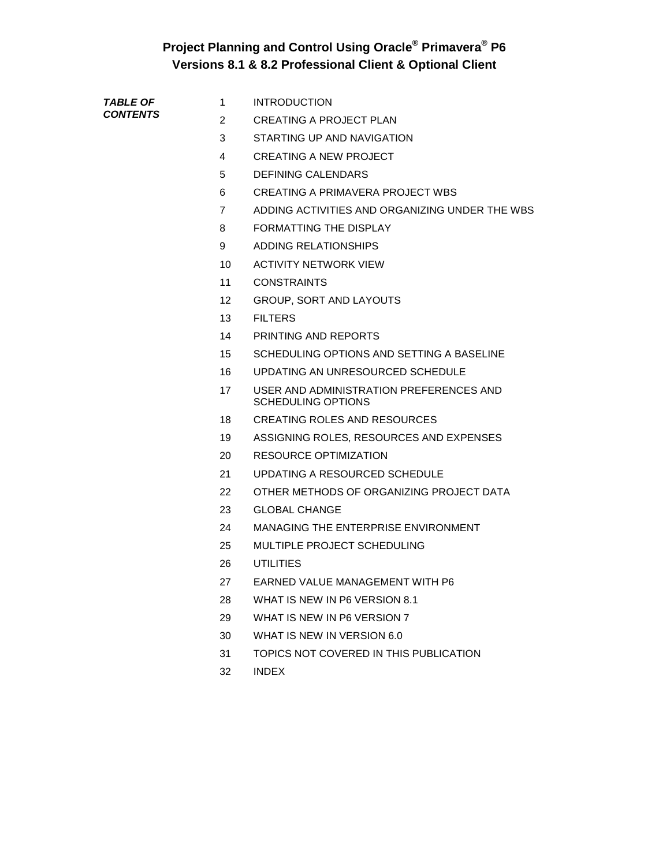| <b>TABLE OF</b> |  |  |
|-----------------|--|--|
| <b>CONTENTS</b> |  |  |

- 1 INTRODUCTION
- 2 CREATING A PROJECT PLAN
	- 3 STARTING UP AND NAVIGATION
	- 4 CREATING A NEW PROJECT
	- 5 DEFINING CALENDARS
	- 6 CREATING A PRIMAVERA PROJECT WBS
	- 7 ADDING ACTIVITIES AND ORGANIZING UNDER THE WBS
	- 8 FORMATTING THE DISPLAY
	- 9 ADDING RELATIONSHIPS
	- 10 ACTIVITY NETWORK VIEW
	- 11 CONSTRAINTS
	- 12 GROUP, SORT AND LAYOUTS
	- 13 FILTERS
	- 14 PRINTING AND REPORTS
	- 15 SCHEDULING OPTIONS AND SETTING A BASELINE
	- 16 UPDATING AN UNRESOURCED SCHEDULE
	- 17 USER AND ADMINISTRATION PREFERENCES AND SCHEDULING OPTIONS
	- 18 CREATING ROLES AND RESOURCES
	- 19 ASSIGNING ROLES, RESOURCES AND EXPENSES
	- 20 RESOURCE OPTIMIZATION
	- 21 UPDATING A RESOURCED SCHEDULE
	- 22 OTHER METHODS OF ORGANIZING PROJECT DATA
	- 23 GLOBAL CHANGE
	- 24 MANAGING THE ENTERPRISE ENVIRONMENT
	- 25 MULTIPLE PROJECT SCHEDULING
	- 26 UTILITIES
	- 27 EARNED VALUE MANAGEMENT WITH P6
	- 28 WHAT IS NEW IN P6 VERSION 8.1
	- 29 WHAT IS NEW IN P6 VERSION 7
	- 30 WHAT IS NEW IN VERSION 6.0
	- 31 TOPICS NOT COVERED IN THIS PUBLICATION
	- 32 INDEX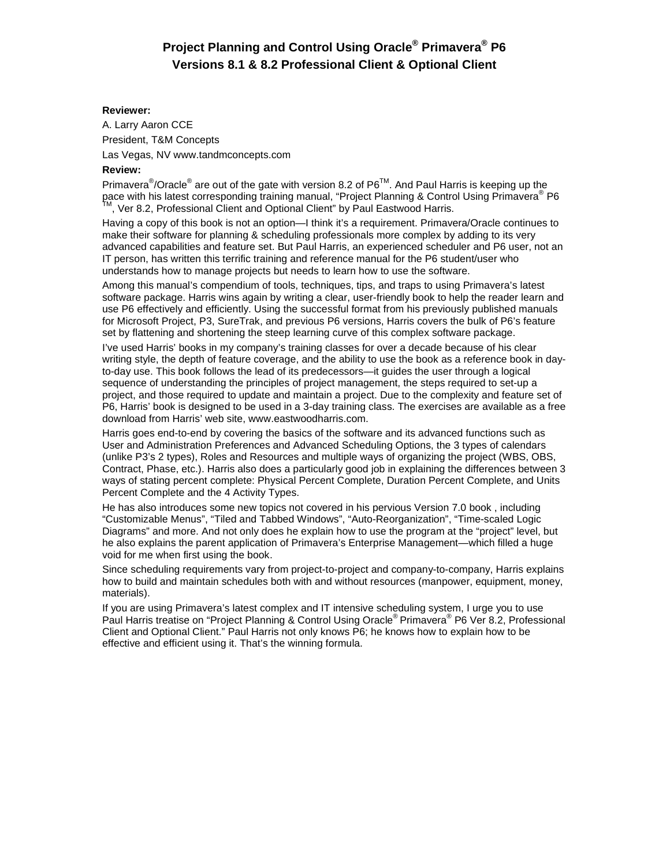#### **Reviewer:**

A. Larry Aaron CCE President, T&M Concepts Las Vegas, NV www.tandmconcepts.com

#### **Review:**

Primavera<sup>®</sup>/Oracle<sup>®</sup> are out of the gate with version 8.2 of P6<sup>TM</sup>. And Paul Harris is keeping up the pace with his latest corresponding training manual, "Project Planning & Control Using Primavera® P6  $<sup>1</sup>$ , Ver 8.2, Professional Client and Optional Client" by Paul Eastwood Harris.</sup>

Having a copy of this book is not an option—I think it's a requirement. Primavera/Oracle continues to make their software for planning & scheduling professionals more complex by adding to its very advanced capabilities and feature set. But Paul Harris, an experienced scheduler and P6 user, not an IT person, has written this terrific training and reference manual for the P6 student/user who understands how to manage projects but needs to learn how to use the software.

Among this manual's compendium of tools, techniques, tips, and traps to using Primavera's latest software package. Harris wins again by writing a clear, user-friendly book to help the reader learn and use P6 effectively and efficiently. Using the successful format from his previously published manuals for Microsoft Project, P3, SureTrak, and previous P6 versions, Harris covers the bulk of P6's feature set by flattening and shortening the steep learning curve of this complex software package.

I've used Harris' books in my company's training classes for over a decade because of his clear writing style, the depth of feature coverage, and the ability to use the book as a reference book in dayto-day use. This book follows the lead of its predecessors—it guides the user through a logical sequence of understanding the principles of project management, the steps required to set-up a project, and those required to update and maintain a project. Due to the complexity and feature set of P6, Harris' book is designed to be used in a 3-day training class. The exercises are available as a free download from Harris' web site, www.eastwoodharris.com.

Harris goes end-to-end by covering the basics of the software and its advanced functions such as User and Administration Preferences and Advanced Scheduling Options, the 3 types of calendars (unlike P3's 2 types), Roles and Resources and multiple ways of organizing the project (WBS, OBS, Contract, Phase, etc.). Harris also does a particularly good job in explaining the differences between 3 ways of stating percent complete: Physical Percent Complete, Duration Percent Complete, and Units Percent Complete and the 4 Activity Types.

He has also introduces some new topics not covered in his pervious Version 7.0 book , including "Customizable Menus", "Tiled and Tabbed Windows", "Auto-Reorganization", "Time-scaled Logic Diagrams" and more. And not only does he explain how to use the program at the "project" level, but he also explains the parent application of Primavera's Enterprise Management—which filled a huge void for me when first using the book.

Since scheduling requirements vary from project-to-project and company-to-company, Harris explains how to build and maintain schedules both with and without resources (manpower, equipment, money, materials).

If you are using Primavera's latest complex and IT intensive scheduling system, I urge you to use Paul Harris treatise on "Project Planning & Control Using Oracle<sup>®</sup> Primavera<sup>®</sup> P6 Ver 8.2, Professional Client and Optional Client." Paul Harris not only knows P6; he knows how to explain how to be effective and efficient using it. That's the winning formula.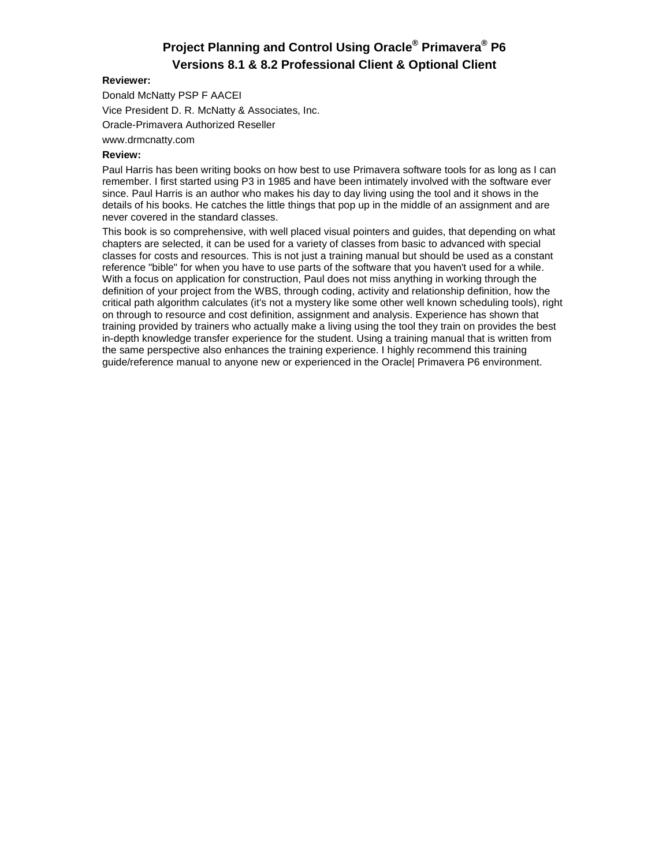### **Reviewer:**

Donald McNatty PSP F AACEI Vice President D. R. McNatty & Associates, Inc. Oracle-Primavera Authorized Reseller

www.drmcnatty.com

### **Review:**

Paul Harris has been writing books on how best to use Primavera software tools for as long as I can remember. I first started using P3 in 1985 and have been intimately involved with the software ever since. Paul Harris is an author who makes his day to day living using the tool and it shows in the details of his books. He catches the little things that pop up in the middle of an assignment and are never covered in the standard classes.

This book is so comprehensive, with well placed visual pointers and guides, that depending on what chapters are selected, it can be used for a variety of classes from basic to advanced with special classes for costs and resources. This is not just a training manual but should be used as a constant reference "bible" for when you have to use parts of the software that you haven't used for a while. With a focus on application for construction, Paul does not miss anything in working through the definition of your project from the WBS, through coding, activity and relationship definition, how the critical path algorithm calculates (it's not a mystery like some other well known scheduling tools), right on through to resource and cost definition, assignment and analysis. Experience has shown that training provided by trainers who actually make a living using the tool they train on provides the best in-depth knowledge transfer experience for the student. Using a training manual that is written from the same perspective also enhances the training experience. I highly recommend this training guide/reference manual to anyone new or experienced in the Oracle| Primavera P6 environment.